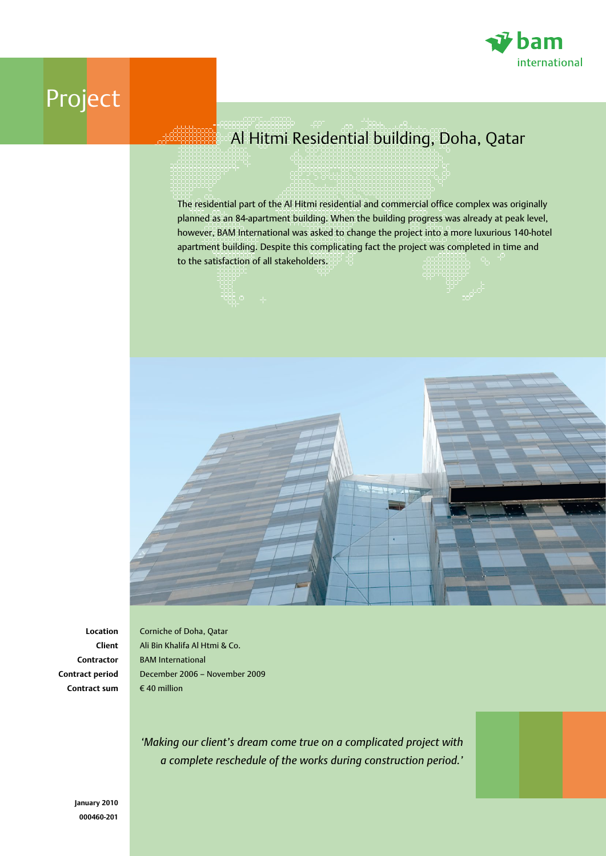

## Project

## Al Hitmi Residential building, Doha, Qatar

The residential part of the Al Hitmi residential and commercial office complex was originally planned as an 84-apartment building. When the building progress was already at peak level, however, BAM International was asked to change the project into a more luxurious 140-hotel apartment building. Despite this complicating fact the project was completed in time and to the satisfaction of all stakeholders.



**Location Client Contractor Contract period Contract sum**

Corniche of Doha, Qatar Ali Bin Khalifa Al Htmi & Co. BAM International December 2006 – November 2009  $\epsilon$  40 million

*'Making our client's dream come true on a complicated project with a complete reschedule of the works during construction period.'*